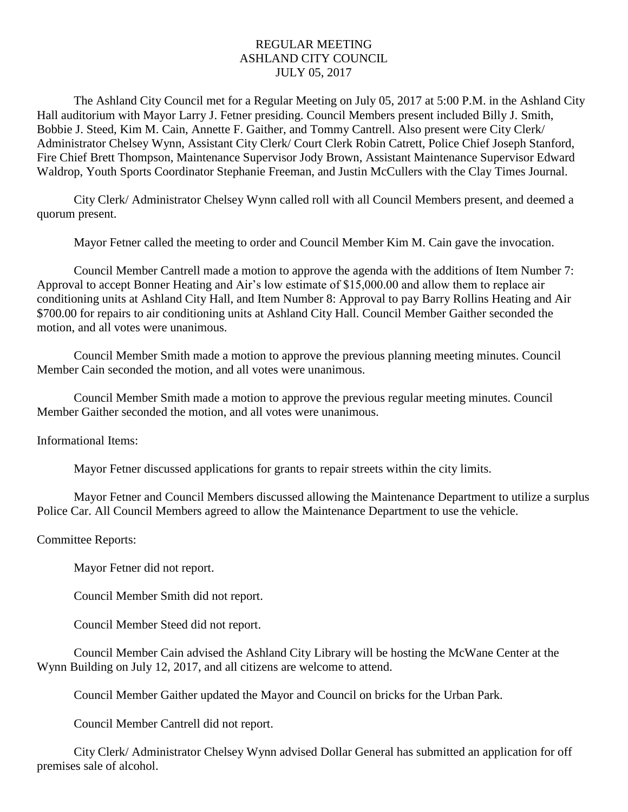## REGULAR MEETING ASHLAND CITY COUNCIL JULY 05, 2017

The Ashland City Council met for a Regular Meeting on July 05, 2017 at 5:00 P.M. in the Ashland City Hall auditorium with Mayor Larry J. Fetner presiding. Council Members present included Billy J. Smith, Bobbie J. Steed, Kim M. Cain, Annette F. Gaither, and Tommy Cantrell. Also present were City Clerk/ Administrator Chelsey Wynn, Assistant City Clerk/ Court Clerk Robin Catrett, Police Chief Joseph Stanford, Fire Chief Brett Thompson, Maintenance Supervisor Jody Brown, Assistant Maintenance Supervisor Edward Waldrop, Youth Sports Coordinator Stephanie Freeman, and Justin McCullers with the Clay Times Journal.

City Clerk/ Administrator Chelsey Wynn called roll with all Council Members present, and deemed a quorum present.

Mayor Fetner called the meeting to order and Council Member Kim M. Cain gave the invocation.

Council Member Cantrell made a motion to approve the agenda with the additions of Item Number 7: Approval to accept Bonner Heating and Air's low estimate of \$15,000.00 and allow them to replace air conditioning units at Ashland City Hall, and Item Number 8: Approval to pay Barry Rollins Heating and Air \$700.00 for repairs to air conditioning units at Ashland City Hall. Council Member Gaither seconded the motion, and all votes were unanimous.

Council Member Smith made a motion to approve the previous planning meeting minutes. Council Member Cain seconded the motion, and all votes were unanimous.

Council Member Smith made a motion to approve the previous regular meeting minutes. Council Member Gaither seconded the motion, and all votes were unanimous.

Informational Items:

Mayor Fetner discussed applications for grants to repair streets within the city limits.

Mayor Fetner and Council Members discussed allowing the Maintenance Department to utilize a surplus Police Car. All Council Members agreed to allow the Maintenance Department to use the vehicle.

## Committee Reports:

Mayor Fetner did not report.

Council Member Smith did not report.

Council Member Steed did not report.

Council Member Cain advised the Ashland City Library will be hosting the McWane Center at the Wynn Building on July 12, 2017, and all citizens are welcome to attend.

Council Member Gaither updated the Mayor and Council on bricks for the Urban Park.

Council Member Cantrell did not report.

City Clerk/ Administrator Chelsey Wynn advised Dollar General has submitted an application for off premises sale of alcohol.